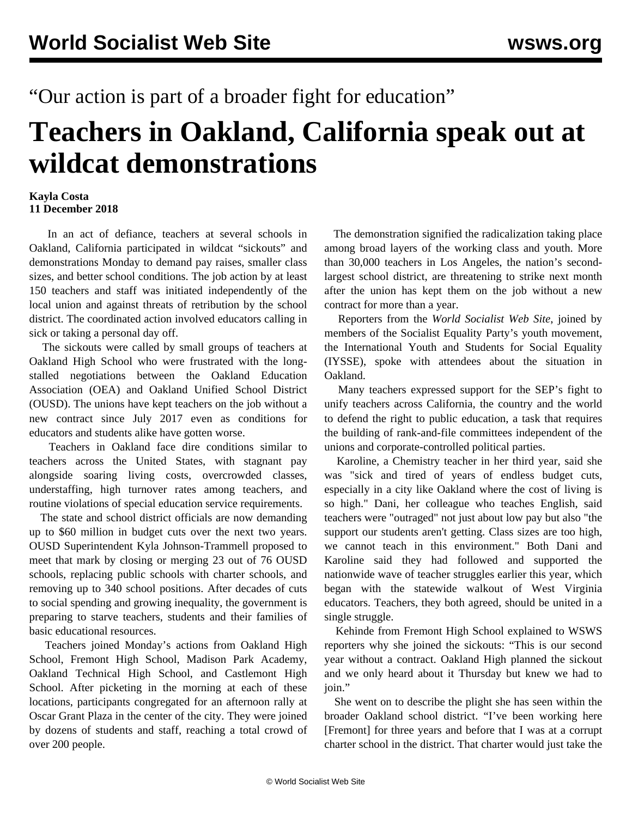"Our action is part of a broader fight for education"

## **Teachers in Oakland, California speak out at wildcat demonstrations**

## **Kayla Costa 11 December 2018**

 In an act of defiance, teachers at several schools in Oakland, California participated in wildcat "sickouts" and demonstrations Monday to demand pay raises, smaller class sizes, and better school conditions. The job action by at least 150 teachers and staff was initiated independently of the local union and against threats of retribution by the school district. The coordinated action involved educators calling in sick or taking a personal day off.

 The sickouts were called by small groups of teachers at Oakland High School who were frustrated with the longstalled negotiations between the Oakland Education Association (OEA) and Oakland Unified School District (OUSD). The unions have kept teachers on the job without a new contract since July 2017 even as conditions for educators and students alike have gotten worse.

 Teachers in Oakland face dire conditions similar to teachers across the United States, with stagnant pay alongside soaring living costs, overcrowded classes, understaffing, high turnover rates among teachers, and routine violations of special education service requirements.

 The state and school district officials are now demanding up to \$60 million in budget cuts over the next two years. OUSD Superintendent Kyla Johnson-Trammell proposed to meet that mark by closing or merging 23 out of 76 OUSD schools, replacing public schools with charter schools, and removing up to 340 school positions. After decades of cuts to social spending and growing inequality, the government is preparing to starve teachers, students and their families of basic educational resources.

 Teachers joined Monday's actions from Oakland High School, Fremont High School, Madison Park Academy, Oakland Technical High School, and Castlemont High School. After picketing in the morning at each of these locations, participants congregated for an afternoon rally at Oscar Grant Plaza in the center of the city. They were joined by dozens of students and staff, reaching a total crowd of over 200 people.

 The demonstration signified the radicalization taking place among broad layers of the working class and youth. More than 30,000 teachers in Los Angeles, the nation's secondlargest school district, are threatening to strike next month after the union has kept them on the job without a new contract for more than a year.

 Reporters from the *World Socialist Web Site*, joined by members of the Socialist Equality Party's youth movement, the International Youth and Students for Social Equality (IYSSE), spoke with attendees about the situation in Oakland.

 Many teachers expressed support for the SEP's fight to unify teachers across California, the country and the world to defend the right to public education, a task that requires the building of rank-and-file committees independent of the unions and corporate-controlled political parties.

 Karoline, a Chemistry teacher in her third year, said she was "sick and tired of years of endless budget cuts, especially in a city like Oakland where the cost of living is so high." Dani, her colleague who teaches English, said teachers were "outraged" not just about low pay but also "the support our students aren't getting. Class sizes are too high, we cannot teach in this environment." Both Dani and Karoline said they had followed and supported the nationwide wave of teacher struggles earlier this year, which began with the statewide walkout of West Virginia educators. Teachers, they both agreed, should be united in a single struggle.

 Kehinde from Fremont High School explained to WSWS reporters why she joined the sickouts: "This is our second year without a contract. Oakland High planned the sickout and we only heard about it Thursday but knew we had to join."

 She went on to describe the plight she has seen within the broader Oakland school district. "I've been working here [Fremont] for three years and before that I was at a corrupt charter school in the district. That charter would just take the